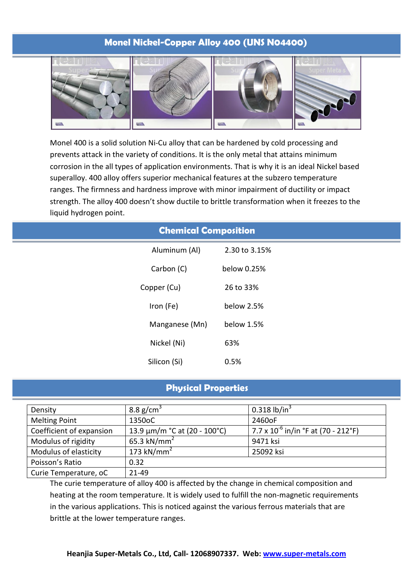## **Monel Nickel-Copper Alloy 400 (UNS N04400)**



Monel 400 is a solid solution Ni-Cu alloy that can be hardened by cold processing and prevents attack in the variety of conditions. It is the only metal that attains minimum corrosion in the all types of application environments. That is why it is an ideal Nickel based superalloy. 400 alloy offers superior mechanical features at the subzero temperature ranges. The firmness and hardness improve with minor impairment of ductility or impact strength. The alloy 400 doesn't show ductile to brittle transformation when it freezes to the liquid hydrogen point.

| <b>Chemical Composition</b> |               |  |  |  |  |  |
|-----------------------------|---------------|--|--|--|--|--|
| Aluminum (Al)               | 2.30 to 3.15% |  |  |  |  |  |
| Carbon (C)                  | below 0.25%   |  |  |  |  |  |
| Copper (Cu)                 | 26 to 33%     |  |  |  |  |  |
| Iron (Fe)                   | below 2.5%    |  |  |  |  |  |
| Manganese (Mn)              | below 1.5%    |  |  |  |  |  |
| Nickel (Ni)                 | 63%           |  |  |  |  |  |
| Silicon (Si)                | 0.5%          |  |  |  |  |  |

## **Physical Properties**

| Density                  | 8.8 $g/cm3$                       | 0.318 $lb/in3$                           |
|--------------------------|-----------------------------------|------------------------------------------|
| <b>Melting Point</b>     | 1350oC                            | 2460oF                                   |
| Coefficient of expansion | 13.9 $\mu$ m/m °C at (20 - 100°C) | 7.7 x $10^{-6}$ in/in °F at (70 - 212°F) |
| Modulus of rigidity      | 65.3 kN/mm <sup>2</sup>           | 9471 ksi                                 |
| Modulus of elasticity    | 173 kN/mm <sup>2</sup>            | 25092 ksi                                |
| Poisson's Ratio          | 0.32                              |                                          |
| Curie Temperature, oC    | 21-49                             |                                          |

The curie temperature of alloy 400 is affected by the change in chemical composition and heating at the room temperature. It is widely used to fulfill the non-magnetic requirements in the various applications. This is noticed against the various ferrous materials that are brittle at the lower temperature ranges.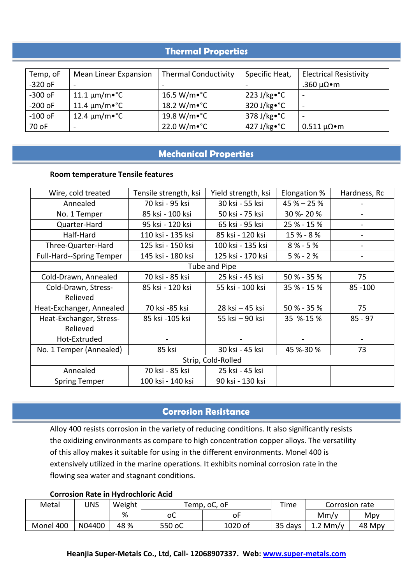# **Thermal Properties**

| Temp, oF  | Mean Linear Expansion                   | <b>Thermal Conductivity</b> | Specific Heat,        | <b>Electrical Resistivity</b> |
|-----------|-----------------------------------------|-----------------------------|-----------------------|-------------------------------|
| $-320$ oF |                                         |                             |                       | .360 μΩ•m                     |
| $-300$ oF | $11.1 \,\mathrm{\upmu m/m}$ $\degree$ C | $16.5 W/m \cdot ^{\circ}C$  | $223$ J/kg $\cdot$ °C |                               |
| $-200$ oF | 11.4 $\mu$ m/m•°C                       | $18.2 W/m \cdot ^{\circ}C$  | $320$ J/kg $\cdot$ °C |                               |
| $-100$ oF | $12.4 \mu m/m \cdot ^{\circ}C$          | 19.8 W/m∙°C                 | $378$ J/kg $\cdot$ °C | $\overline{\phantom{0}}$      |
| 70 oF     | $\overline{\phantom{a}}$                | $22.0 W/m \cdot ^{\circ}C$  | 427 J/kg $\cdot$ °C   | $0.511 \mu\Omega \bullet m$   |

### **Mechanical Properties**

#### **Room temperature Tensile features**

| Wire, cold treated              | Tensile strength, ksi | Yield strength, ksi | Elongation % | Hardness, Rc |  |  |  |
|---------------------------------|-----------------------|---------------------|--------------|--------------|--|--|--|
| Annealed                        | 70 ksi - 95 ksi       | 30 ksi - 55 ksi     | $45% - 25%$  |              |  |  |  |
| No. 1 Temper                    | 85 ksi - 100 ksi      | 50 ksi - 75 ksi     | 30 %-20 %    |              |  |  |  |
| Quarter-Hard                    | 95 ksi - 120 ksi      | 65 ksi - 95 ksi     | 25 % - 15 %  |              |  |  |  |
| Half-Hard                       | 110 ksi - 135 ksi     | 85 ksi - 120 ksi    | 15 % - 8 %   |              |  |  |  |
| Three-Quarter-Hard              | 125 ksi - 150 ksi     | 100 ksi - 135 ksi   | $8% - 5%$    |              |  |  |  |
| <b>Full-Hard--Spring Temper</b> | 145 ksi - 180 ksi     | 125 ksi - 170 ksi   | $5% - 2%$    |              |  |  |  |
|                                 |                       | Tube and Pipe       |              |              |  |  |  |
| Cold-Drawn, Annealed            | 70 ksi - 85 ksi       | 25 ksi - 45 ksi     | 50 % - 35 %  | 75           |  |  |  |
| Cold-Drawn, Stress-             | 85 ksi - 120 ksi      | 55 ksi - 100 ksi    | 35 % - 15 %  | 85 - 100     |  |  |  |
| Relieved                        |                       |                     |              |              |  |  |  |
| Heat-Exchanger, Annealed        | 70 ksi -85 ksi        | 28 ksi - 45 ksi     | 50 % - 35 %  | 75           |  |  |  |
| Heat-Exchanger, Stress-         | 85 ksi -105 ksi       | 55 ksi – 90 ksi     | 35 %-15 %    | $85 - 97$    |  |  |  |
| Relieved                        |                       |                     |              |              |  |  |  |
| Hot-Extruded                    |                       |                     |              |              |  |  |  |
| No. 1 Temper (Annealed)         | 85 ksi                | 30 ksi - 45 ksi     | 45 %-30 %    | 73           |  |  |  |
| Strip, Cold-Rolled              |                       |                     |              |              |  |  |  |
| Annealed                        | 70 ksi - 85 ksi       | 25 ksi - 45 ksi     |              |              |  |  |  |
| <b>Spring Temper</b>            | 100 ksi - 140 ksi     | 90 ksi - 130 ksi    |              |              |  |  |  |

# **Corrosion Resistance**

Alloy 400 resists corrosion in the variety of reducing conditions. It also significantly resists the oxidizing environments as compare to high concentration copper alloys. The versatility of this alloy makes it suitable for using in the different environments. Monel 400 is extensively utilized in the marine operations. It exhibits nominal corrosion rate in the flowing sea water and stagnant conditions.

#### **Corrosion Rate in Hydrochloric Acid**

| Metal     | UNS    | Weight | Temp, oC, oF |         | --<br>'ime |                | Corrosion rate |
|-----------|--------|--------|--------------|---------|------------|----------------|----------------|
|           |        | %      | оC           | οı      |            | Mm/y           | Mpy            |
| Monel 400 | N04400 | 48 %   | 550 oC       | 1020 of | 35 days    | .2 Mm/v<br>T.T | 48 Mpy         |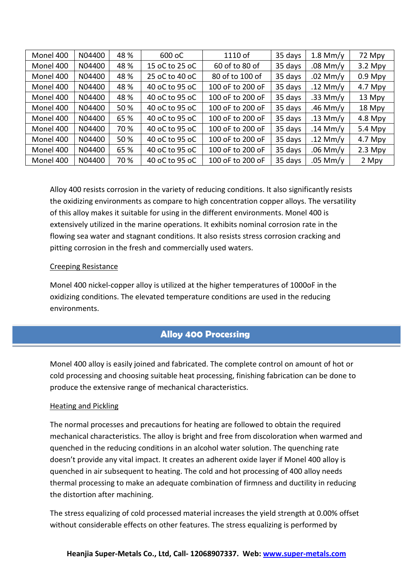| Monel 400 | N04400 | 48 % | 600 oC         | $1110$ of        | 35 days | $1.8$ Mm/y | 72 Mpy    |
|-----------|--------|------|----------------|------------------|---------|------------|-----------|
| Monel 400 | N04400 | 48 % | 15 oC to 25 oC | 60 of to 80 of   | 35 days | $.08$ Mm/y | $3.2$ Mpy |
| Monel 400 | N04400 | 48 % | 25 oC to 40 oC | 80 of to 100 of  | 35 days | $.02$ Mm/y | $0.9$ Mpy |
| Monel 400 | N04400 | 48 % | 40 oC to 95 oC | 100 oF to 200 oF | 35 days | .12 Mm/y   | $4.7$ Mpy |
| Monel 400 | N04400 | 48 % | 40 oC to 95 oC | 100 oF to 200 oF | 35 days | .33 Mm/y   | 13 Mpy    |
| Monel 400 | N04400 | 50 % | 40 oC to 95 oC | 100 oF to 200 oF | 35 days | .46 Mm/y   | 18 Mpy    |
| Monel 400 | N04400 | 65 % | 40 oC to 95 oC | 100 oF to 200 oF | 35 days | .13 Mm/y   | $4.8$ Mpy |
| Monel 400 | N04400 | 70 % | 40 oC to 95 oC | 100 oF to 200 oF | 35 days | .14 Mm/y   | 5.4 Mpy   |
| Monel 400 | N04400 | 50 % | 40 oC to 95 oC | 100 oF to 200 oF | 35 days | .12 Mm/y   | $4.7$ Mpy |
| Monel 400 | N04400 | 65 % | 40 oC to 95 oC | 100 oF to 200 oF | 35 days | $.06$ Mm/y | $2.3$ Mpy |
| Monel 400 | N04400 | 70 % | 40 oC to 95 oC | 100 oF to 200 oF | 35 days | $.05$ Mm/y | 2 Mpy     |

Alloy 400 resists corrosion in the variety of reducing conditions. It also significantly resists the oxidizing environments as compare to high concentration copper alloys. The versatility of this alloy makes it suitable for using in the different environments. Monel 400 is extensively utilized in the marine operations. It exhibits nominal corrosion rate in the flowing sea water and stagnant conditions. It also resists stress corrosion cracking and pitting corrosion in the fresh and commercially used waters.

### Creeping Resistance

Monel 400 nickel-copper alloy is utilized at the higher temperatures of 1000oF in the oxidizing conditions. The elevated temperature conditions are used in the reducing environments.

### **Alloy 400 Processing**

Monel 400 alloy is easily joined and fabricated. The complete control on amount of hot or cold processing and choosing suitable heat processing, finishing fabrication can be done to produce the extensive range of mechanical characteristics.

#### Heating and Pickling

The normal processes and precautions for heating are followed to obtain the required mechanical characteristics. The alloy is bright and free from discoloration when warmed and quenched in the reducing conditions in an alcohol water solution. The quenching rate doesn't provide any vital impact. It creates an adherent oxide layer if Monel 400 alloy is quenched in air subsequent to heating. The cold and hot processing of 400 alloy needs thermal processing to make an adequate combination of firmness and ductility in reducing the distortion after machining.

The stress equalizing of cold processed material increases the yield strength at 0.00% offset without considerable effects on other features. The stress equalizing is performed by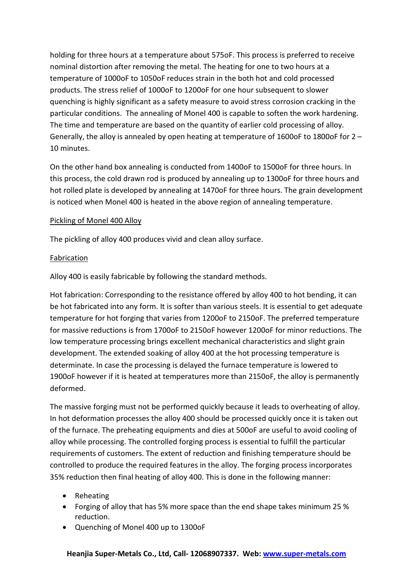holding for three hours at a temperature about 575oF. This process is preferred to receive nominal distortion after removing the metal. The heating for one to two hours at a temperature of 1000oF to 1050oF reduces strain in the both hot and cold processed products. The stress relief of 1000oF to 1200oF for one hour subsequent to slower quenching is highly significant as a safety measure to avoid stress corrosion cracking in the particular conditions. The annealing of Monel 400 is capable to soften the work hardening. The time and temperature are based on the quantity of earlier cold processing of alloy. Generally, the alloy is annealed by open heating at temperature of 1600oF to 1800oF for  $2 -$ 10 minutes.

On the other hand box annealing is conducted from 1400oF to 1500oF for three hours. In this process, the cold drawn rod is produced by annealing up to 1300oF for three hours and hot rolled plate is developed by annealing at 1470oF for three hours. The grain development is noticed when Monel 400 is heated in the above region of annealing temperature.

### Pickling of Monel 400 Alloy

The pickling of alloy 400 produces vivid and clean alloy surface.

#### Fabrication

Alloy 400 is easily fabricable by following the standard methods.

Hot fabrication: Corresponding to the resistance offered by alloy 400 to hot bending, it can be hot fabricated into any form. It is softer than various steels. It is essential to get adequate temperature for hot forging that varies from 1200oF to 2150oF. The preferred temperature for massive reductions is from 1700oF to 2150oF however 1200oF for minor reductions. The low temperature processing brings excellent mechanical characteristics and slight grain development. The extended soaking of alloy 400 at the hot processing temperature is determinate. In case the processing is delayed the furnace temperature is lowered to 1900oF however if it is heated at temperatures more than 2150oF, the alloy is permanently deformed.

The massive forging must not be performed quickly because it leads to overheating of alloy. In hot deformation processes the alloy 400 should be processed quickly once it is taken out of the furnace. The preheating equipments and dies at 500oF are useful to avoid cooling of alloy while processing. The controlled forging process is essential to fulfill the particular requirements of customers. The extent of reduction and finishing temperature should be controlled to produce the required features in the alloy. The forging process incorporates 35% reduction then final heating of alloy 400. This is done in the following manner:

- · Reheating
- · Forging of alloy that has 5% more space than the end shape takes minimum 25 % reduction.
- · Quenching of Monel 400 up to 1300oF